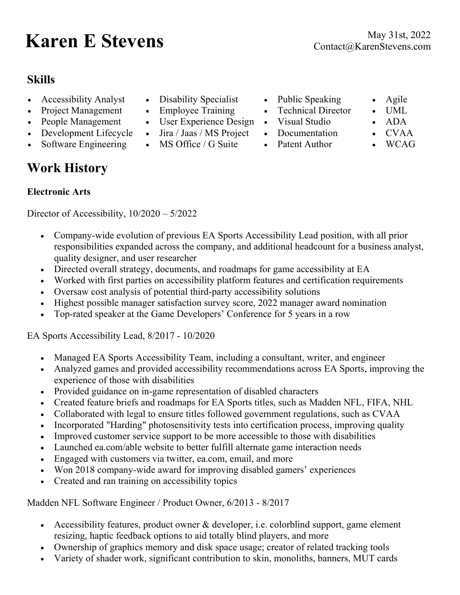# Karen E Stevens May 31st, 2022

# Skills

- Accessibility Analyst
- Project Management
- People Management
- Development Lifecycle
- Software Engineering

### • Disability Specialist

- Employee Training
- User Experience Design
- Jira / Jaas / MS Project
- $MS$  Office / G Suite
- Public Speaking
- Technical Director
- Visual Studio
- Documentation
- Patent Author
- Agile
- UML
- ADA
	- CVAA
	- WCAG

# Work History

#### Electronic Arts

Director of Accessibility, 10/2020 – 5/2022

- Company-wide evolution of previous EA Sports Accessibility Lead position, with all prior responsibilities expanded across the company, and additional headcount for a business analyst, quality designer, and user researcher
- Directed overall strategy, documents, and roadmaps for game accessibility at EA
- Worked with first parties on accessibility platform features and certification requirements
- Oversaw cost analysis of potential third-party accessibility solutions
- Highest possible manager satisfaction survey score, 2022 manager award nomination
- Top-rated speaker at the Game Developers' Conference for 5 years in a row

#### EA Sports Accessibility Lead, 8/2017 - 10/2020

- Managed EA Sports Accessibility Team, including a consultant, writer, and engineer
- Analyzed games and provided accessibility recommendations across EA Sports, improving the experience of those with disabilities
- Provided guidance on in-game representation of disabled characters
- Created feature briefs and roadmaps for EA Sports titles, such as Madden NFL, FIFA, NHL
- Collaborated with legal to ensure titles followed government regulations, such as CVAA
- Incorporated "Harding" photosensitivity tests into certification process, improving quality
- Improved customer service support to be more accessible to those with disabilities
- Launched ea.com/able website to better fulfill alternate game interaction needs
- Engaged with customers via twitter, ea.com, email, and more
- Won 2018 company-wide award for improving disabled gamers' experiences
- Created and ran training on accessibility topics

Madden NFL Software Engineer / Product Owner, 6/2013 - 8/2017

- Accessibility features, product owner & developer, i.e. colorblind support, game element resizing, haptic feedback options to aid totally blind players, and more
- Ownership of graphics memory and disk space usage; creator of related tracking tools
- Variety of shader work, significant contribution to skin, monoliths, banners, MUT cards
- 
-